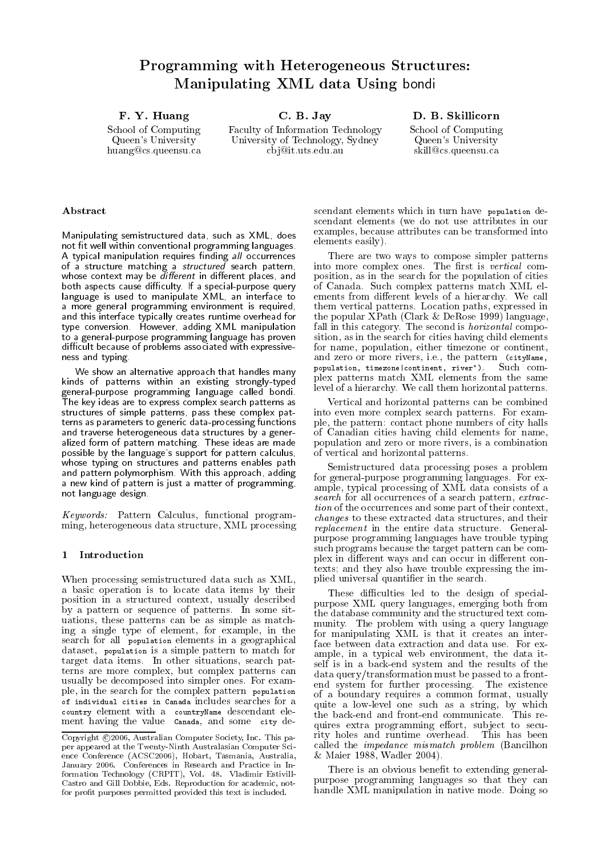# Programming with Heterogeneous Structures Manipulating XML data Using bondi

F Y Huang

School of Computing Queen's University huangcs-queensu-ca C B Jay

Faculty of Information Technology University of Technology, Sydney cb jit-uts-edu-au \_\_\_\_\_\_\_\_\_\_\_\_\_\_\_\_\_

School of Computing Queen's University skilles- on the company of the case of the case of the case of the case of the case of the case of the case of

## Abstract

Manipulating semistructured data, such as XML, does not fit well within conventional programming languages. A typical manipulation requires finding all occurrences of a structure matching a structured search pattern, whose context may be different in different places, and both aspects cause diculty- If a specialpurpose query language is used to manipulate XML, an interface to a more general programming environment is required and this interface typically creates runtime overhead for type conversion- However adding XML manipulation to a general-purpose programming language has proven difficult because of problems associated with expressive ness and typing-

We show an alternative approach that handles many kinds of patterns within an existing strongly-typed general-purpose programming language called bondi-The key ideas are to express complex search patterns as structures of simple patterns, pass these complex patterns as parameters to generic data-processing functions and traverse heterogeneous data structures by a gener alized form of pattern matching-distance matching-matching-matchingpossible by the language's support for pattern calculus, whose typing on structures and patterns enables path and pattern polymorphisms in this approach, adding the polym a new kind of pattern is just a matter of programming not language design-

Keywords: Pattern Calculus, functional programming, heterogeneous data structure, XML processing

# Introduction

When processing semistructured data such as XML a basic operation is to locate data items by their position in a structured context, usually described by a pattern or sequence of pattern or sequence or sequence of pattern or sequence of patternsuations, these patterns can be as simple as matching a single type of element, for example, in the search for all population elements in a geographical dataset, population is a simple pattern to match for target data items- and situations search pathology and pathology  $\mathbf{u}_i$ terns are more complex but complex patterns can usually be decomposed into simpler ones-decomposed into simpler ones-decomposed into simpler onesple, in the search for the complex pattern population of individual cities in Canada includes searches for a country element with a countryName descendant ele ment having the value canada, and some city de-

scendant elements which in turn have population de scendant elements (we do not use attributes in our examples, because attributes can be transformed into  $elements$  easily).

There are two ways to compose simpler patterns ways to compose simpler patterns ways to compose simpler patterns of into more complex ones- The rst is vertical com position as in the search for the population of cities of Canada-A. Such complete patterns matches patterns matches ements from dierent levels of a hierarchy-levels of a hierarchy-levels of a hierarchy-levels of a hierarchy-levels of a hierarchy-level of a hierarchy-level of a hierarchy-level of a hierarchy-level of a hierarchy-level of them vertical patterns- Location paths expressed in the popular form  $\alpha$  and  $\alpha$  and  $\alpha$  and  $\alpha$  and  $\alpha$  and  $\alpha$ fall in this category- The second is horizontal compo sition, as in the search for cities having child elements for name, population, either timezone or continent, and zero or more rivers in the pattern city. The pattern city Names is a pattern city Names in the pattern city population, timezone continent, river ). Such com plex patterns match XML elements from the same level of a hierarchy- We call them horizontal patterns-

Vertical and horizontal patterns can be combined into even more complex search patterns- For exam ple, the pattern: contact phone numbers of city halls of Canadian cities having child elements for name population and zero or more rivers, is a combination of vertical and horizontal patterns-

Semistructured data processing poses a problem for generalpurpose programming languages- For ex ample, typical processing of XML data consists of a search for all occurrences of a search pattern, extraction of the occurrences and some part of their context, changes to these extracted data structures and their replacement in the entire data structure- General purpose programming languages have trouble typing such programs because the target pattern can be com plex in different ways and can occur in different contexts and they also have trouble expressing the im plied universal quantifier in the search.

These difficulties led to the design of specialpurpose XML query languages, emerging both from the database community and the structured text com munity- The problem with using a query language for manipulating XML is that it creates an inter ample, in a typical web environment, the data itself is in a back-end system and the results of the data query/transformation must be passed to a frontend system for further processing- The existence of a boundary requires a common format usually moment, quite a low-level one such as a string, by which quires extra programming effort, subject to security holes and runtime overhead- This has been called the *impedance mismatch problem* (Bancilhon Maier Wadler -

There is an obvious benefit to extending generalpurpose programming languages so that they can handle XML manipulation in native mode- Doing so

Copyright c - Australian Computer Society Inc This pa per appeared at the Twenty-Ninth Australasian Computer Science conference activity, including and the conference  $\mathcal{L}_{\mathcal{A}}$ January - Conferences in Research and Practice in In for a state  $\mathcal{L}$  and  $\mathcal{L}$  values of  $\mathcal{L}$  values of  $\mathcal{L}$  and  $\mathcal{L}$  and  $\mathcal{L}$  and  $\mathcal{L}$  and  $\mathcal{L}$  and  $\mathcal{L}$  and  $\mathcal{L}$  and  $\mathcal{L}$  and  $\mathcal{L}$  and  $\mathcal{L}$  and  $\mathcal{L}$  and  $\mathcal{L}$  and  $\$ Castro and Gill Dobbie, Eds. Reproduction for academic, notfor pro t purposes permitted provided this text is included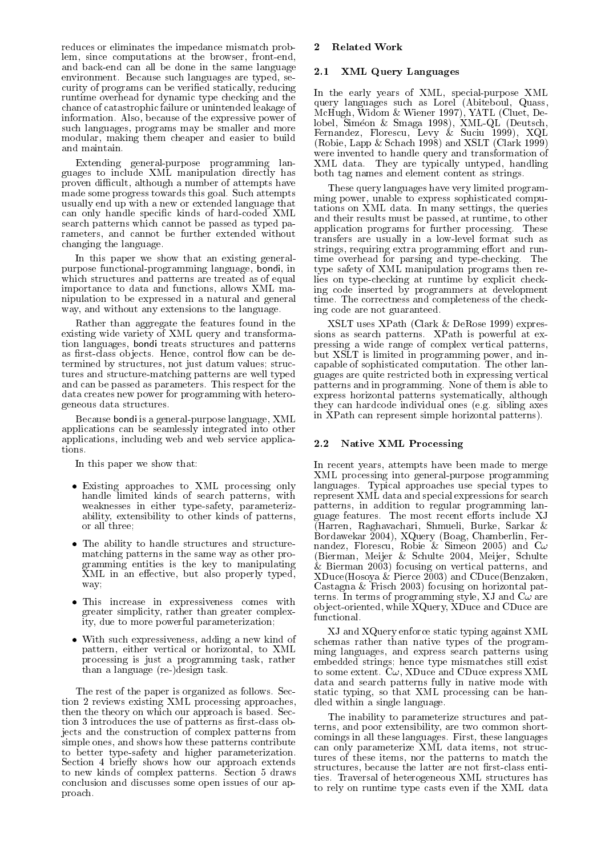reduces or eliminates the impedance mismatch prob lem, since computations at the browser, front-end, and backend can all be done in the same language environment- are the such languages are typed set of the set of the set of the set of the set of the set of th curity of programs can be verified statically, reducing runtime overhead for dynamic type checking and the chance of catastrophic failure or unintended leakage of information-the expressive power of the expressive power of the contract of the expressive power of the contract of such languages, programs may be smaller and more modular, making them cheaper and easier to build and maintain-

Extending general-purpose programming languages to include XML manipulation directly has proven difficult, although a number of attempts have made some progress to ward the this goal of  $\sim$  does not the positive  $\sim$ usually end up with a new or extended language that can only handle specific kinds of hard-coded XML search patterns which cannot be passed as typed pa rameters, and cannot be further extended without changing the language-

In this paper we show that an existing general purpose functional-programming language, bondi, in which structures and patterns are treated as of equal importance to data and functions allows XML ma nipulation to be expressed in a natural and general way, and without any extensions to the language-

Rather than aggregate the features found in the existing wide variety of XML query and transforma tion languages, bondi treats structures and patterns as restaurantes ob jects-independent production of the definition of the definition of the definition of the d termined by structures, not just datum values; structures and structure-matching patterns are well typed and can be passed as parameters-for the passed as parametersdata creates new power for programming with hetero geneous data structures-

Because bondi is a general-purpose language, XML applications can be seamlessly integrated into other applications, including web and web service applications-

In this paper we show that

- Existing approaches to XML processing only handle limited kinds of search patterns, with weaknesses in either type-safety, parameterizability extensibility to other kinds of patterns or all three
- The ability to handle structures and structure matching patterns in the same way as other pro gramming entities is the key to manipulating xml in an external substantial properly typed proper way
- This increase in expressiveness comes with greater simplicity, rather than greater complexity, due to more powerful parameterization;
- With such expressiveness, adding a new kind of pattern, either vertical or horizontal, to XML processing is just a programming task, rather than a language  $(re-)$ design task.

The rest of the paper is organized as follows- Sec tion 2 reviews existing  $\text{XML}$  processing approaches, the theory on which our approach is basedtion 3 introduces the use of patterns as first-class objects and the construction of complex patterns from simple ones and shows how these patterns contribute to better typesafety and higher parameterization-Section 4 briefly shows how our approach extends to new complete patterns-section of complete  $\mathcal{L}_{\mathcal{L}_{\mathcal{L}}}$ conclusion and discusses some open issues of our ap proach-

### 2 Related Work

#### - XML Query Languages

In the early years of XML, special-purpose XML  $\mathcal{A}$  as Lorel Abitebook as Lorel Abitebook as Lorel Abitebook as Lorel Abitebook as Lorel Abitebook as Lorel Abitebook as Lorel Abitebook as Lorel Abitebook as Lorel Abitebook as Lorel Abitebook as Lorel Abitebook as math with with the contract of the cluent of the contract of the contract of the contract of the contract of the lobel Simeon and Simple Simple Simple Simple Simple Simple Simple Simple Simple Simple Simple Simple Simple Si Fernandez Florescu Levy Sucius III, Florescu Levy Successive Successive Successive Successive Successive Successive Successive Successive Successive Successive Successive Successive Successive Successive Successive Success Robie Lapp Schach and XSLT Clark were invented to handle query and transformation of xml data-bar, will allege they will play the started the started theory of the started of the started of the s both tag names and element content as strings-

These query languages have very limited program ming power, unable to express sophisticated computations on XML data- In many settings the queries and their results must be passed, at runtime, to other application programs for further processing-processing-processing-processingtransfers are usually in a lowlevel format such as strings, requiring extra programming effort and runtime over the parsing and typechecking-typechecking-typechecking-typechecking-typechecking-typechecking-typechecking-typechecking-typechecking-typechecking-typechecking-typechecking-typechecking-typechecking-typechecking-t type safety of XML manipulation programs then re lies on typechecking at runtime by explicit check ing code inserted by programmers at development time- The correctness and completeness of the check ing code are not guaranteed.

 $\mathcal{X}$  and  $\mathcal{Y}$  are presented by  $\mathcal{Y}$  and  $\mathcal{Y}$  are presented by  $\mathcal{Y}$ sions as search patterns-in the state is patterns at the state of  $\sim$ pressing a wide range of complex vertical patterns but  $\mathbf{E} = \mathbf{E} \mathbf{A}$  is a probability power and in programming power and in programming power and in probability  $\mathbf{E} = \mathbf{E} \mathbf{A}$ capable of sophisticated computation- some source computationguages are quite restricted both in expressing vertical patterns and in programming, the set of them is able to the them is able to the top of the set of the set of the express horizontal patterns systematically, although  $\sim$  sibling the dividual ones extends the side in  $\sim$  , and the side of  $\sim$ in XPath can represent simple horizontal patterns).

### - Native XML Processing

In recent years, attempts have been made to merge XML processing into general-purpose programming languages- Typical approaches use special types to represent XML data and special expressions for search patterns, in addition to regular programming language features- features-features- the most recent entremediate X Harren Raghavachari Shmueli Burke Sarkar Bordawekar XQuery Boag Chamberlin Fer nandez Florescu Robie og Simeria Frie, man va (Bierman, Meijer & Schulte 2004, Meijer, Schulte  $\&$  Bierman 2003) focusing on vertical patterns, and  $XDuce(Hosova &$  Pierce 2003) and CDuce(Benzaken, Castagna & Frisch 2003) focusing on horizontal patterms are the main of programming styles, which we have the contract of the state of the contract of the contract of the contract of the contract of the contract of the contract of the contract of the contract of the contr object-oriented, while XQuery, XDuce and CDuce are functional.

XJ and XQuery enforce static typing against XML schemas rather than native types of the program ming languages, and express search patterns using embedded strings hence type mismatches still exist to some extent on process with the contract the process  $\mathcal{L}$ data and search patterns fully in native mode with static typing, so that XML processing can be handled within a single language.

tures of these items, nor the patterns to match the The inability to parameterize structures and pat terns, and poor extensibility, are two common shortcommings in all these languages-commings in all the second theory in the second second second second second second second second second second second second second second second second second second second second second se can only parameterize XML data items, not strucstructures, because the latter are not first-class entities-traversal of  $\mathcal{M}_\mathcal{A}$  of heterogeneous  $\mathcal{M}_\mathcal{A}$ to rely on runtime type casts even if the XML data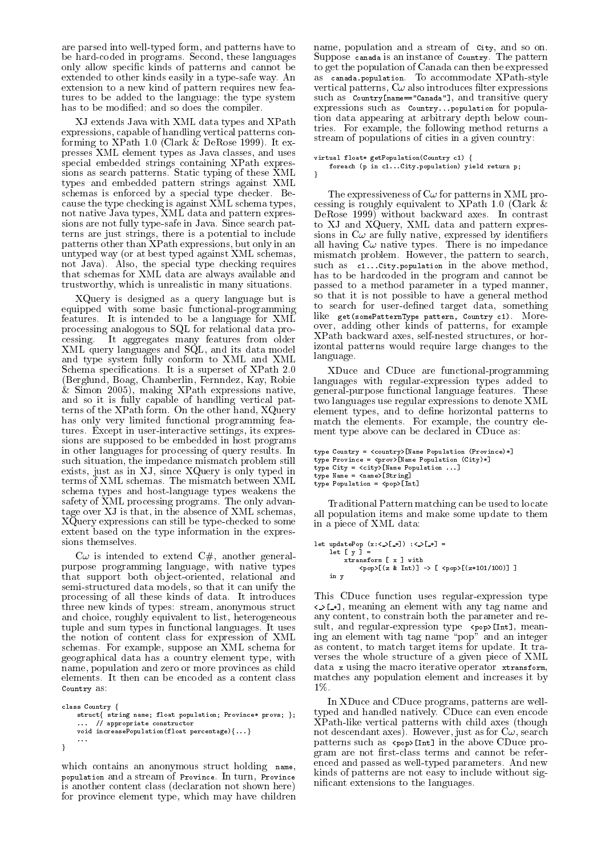are parsed into well-typed form, and patterns have to be hardcoded in programs-these languages in programsonly allow specic kinds of patterns and cannot be extended to other kinds easily in a type-safe way. An extension to a new kind of pattern requires new fea tures to be added to the language; the type system has to be modified; and so does the compiler.

XJ extends Java with XML data types and XPath expressions capable of handling vertical patterns con forming to XPath - Clark DeRose - It ex presses XML element types as Java classes and uses special embedded strings containing XPath expres sions as search patterns-in papers a pattern contract to the second contract of the search of the search of th types and embedded pattern strings against XML schematic by a special type checker-type checker-component of the special type of the special terms of the special terms of the special terms of the special terms of the special terms of the special terms of the special te cause the type checking is against XML schema types not native Java types, XML data and pattern expressions are not fully typesafe in Java- Since search pat terns are just strings there is a potential to include patterns other than XPath expressions but only in an untyped way (or at best typed against XML schemas, not Java-, special type checking requires and the special type requires and  $\alpha$ that schemas for  $\mathcal{N}$  are always available and  $\mathcal{N}$  are always available and  $\mathcal{N}$ trustworthy, which is unrealistic in many situations.

XQuery is designed as a query language but is equipped with some basic functional-programming features- It is intended to be a language for XML processing analogous to SQL for relational data pro cessing- It aggregates many features from older XML query languages and SQL, and its data model and type system fully conform to  $M$  and  $\lambda$  multiplied to  $\lambda$  multiplied to  $\lambda$  multiplied to  $\lambda$  multiplied to  $\lambda$ schematic specification and it is superset of the SPATH - It is a superset of  $X$ (Berglund, Boag, Chamberlin, Fernndez, Kay, Robie  $&$  Simon 2005), making XPath expressions native, and so it is fully capable of handling vertical pat terns of the  $\alpha$  the other hand  $\alpha$  the other hand  $\alpha$ has only very limited functional programming features-except in userinteractive settings in userinteractive settings in userinteractive settings in the setting sions are supposed to be embedded in host programs in other languages for processing of query results. In such situation, the impedance mismatch problem still exists, just as in  $XJ$ , since  $XQuery$  is only typed in terms of XML schemas- The mismatch between XML schemas- The mismatch between XML schemas- The mismatch between XML schemasschema types and host-language types weakens the safety of XML processing programs- The only advan tage over XJ is that, in the absence of XML schemas, XQuery expressions can still be typechecked to some extent based on the type information in the expres sions themselves.

 $C\omega$  is intended to extend  $C\#$ , another generalpurpose programming language, with native types that support both object-oriented, relational and semi-structured data models, so that it can unify the processing of all these kinds of data- It introduces three new kinds of types: stream, anonymous struct and choice, roughly equivalent to list, heterogeneous tuple and sum the sum that is the sum that is sumply the sum that is the sum of the sum of the sum of the sum o the notion of content class for expression of XML schemas- For example suppose an XML schema for geographical data has a country element type, with name, population and zero or more provinces as child Country as

```
class Country f
   struct { string name; float population; Province* provs; };
   void increasePopulation(float percentage){...}
\}
```
which contains an anonymous struct holding name, population and a stream of Province- In turn Province is another content class (declaration not shown here) for province element type, which may have children

name population and a stream of City and so on-Suppose canada is an instance of Country- The pattern to get the population of Canada can then be expressed as canadapopulation- at modelling and the modelling  $\sim$ vertical patterns,  $C\omega$  also introduces filter expressions such as Country[name=="Canada"], and transitive query expressions such as country... population for population data appearing at arbitrary depth below coun tries- For example the following method returns a stream of populations of cities in a given country

virtual float\* getPopulation(Country c1) {

```
for a state population \mathcal{L} and \mathcal{L} and \mathcal{L} return population \mathcal{L} and \mathcal{L}\}
```
 passed to a method parameter in a typed manner The expressiveness of  $C\omega$  for patterns in XML processing is required to the contract the contract of the contract of the contract of the contract of the contract of the contract of the contract of the contract of the contract of the contract of the contract of the contra der axes-in contrast axes-in contrast axes-in contrast axes-in contrast axes-in contrast axes-in contrast axes to XJ and XQuery, XML data and pattern expressions in C are fully native expressed by identiers all having C is not in the processed in the impedance of the second contract of the second contract of the second contract of the second contract of the second contract of the second contract of the second contract of the mismatch problems that we have the pattern to search such as  $c_1$ . City population in the above method, has to be hardcoded in the program and cannot be so that it is not possible to have a general method to search for user-defined target data, something like gets and the pattern country country country country country country country country country country country country country country country country country country country country country country country country coun over, adding other kinds of patterns, for example XPath backward axes, self-nested structures, or horizontal patterns would require large changes to the language-

 XDuce and CDuce are functionalprogramming languages with regular-expression types added to  $\alpha$ -malpurpose functional language features-malpures-malpures-malpures-malpures-malpures-malpures-malpures-malpures-malpures-malpures-malpures-malpures-malpures-malpures-malpures-malpures-malpures-malpures-malpures-malpu two languages use regular expressions to denote XML element types, and to define horizontal patterns to match the elements- For example the country ele ment type above can be declared in CDuce as

```
 In
type Country  country	
Name Population Province
              type Province Boys (Manuel Propince City) and City Constitution City Constitution City Constitution City Constitution City Constitution Constitution Constitution Constitution Constitution Constitution Constitution Constitu
              type Name = <name>[String]

              type Population of the population of the population of the population of the population of the population of t
```
Traditional Pattern matching can be used to locate all population items and make some update to them in a piece of XML data

```
\det [y] =xtransform [ x ] with
                     \langle \text{pop} \rangle[(z & Int)] -> [ \langle \text{pop} \rangle[(z*101/100)]]]
       in your comment of the second contract of the second contract of the second contract of the second contract of
```
This CDuce function uses regular-expression type  meaning an element with any tag name and any content, to constrain both the parameter and result and regular map control type presented and means ing an element with tag name "pop" and an integer as content to match target items for update- It tra verses the whole structure of a given piece of XML data x using the macro iterative operator xtransform matches any population element and increases it by -

In XDuce and CDuce programs, patterns are welltyped and handled natively-can even encodered and the state of  $\sim$  $X$ Path-like vertical patterns with child axes (though as for descendant and  $\mu$  as for  $\mu$  search and as for  $\mu$  search as formations patterns such as popInt in the above CDuce pro gram are not first-class terms and cannot be referenced as well passed as well the control parameters-control the model of the control of the control of the control of the control of the control of the control of the control of the control of the control of the control of kinds of patterns are not easy to include without sig nificant extensions to the languages.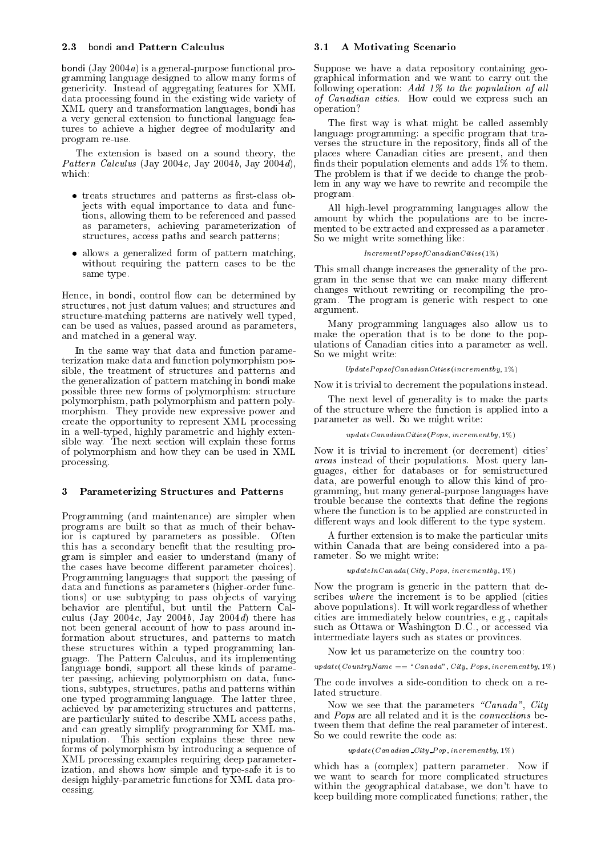bondi  $(Jay 2004a)$  is a general-purpose functional programming language designed to allow many forms of  $\alpha$  instead of a  $\alpha$  instead of a  $\alpha$ data processing found in the existing wide variety of XML query and transformation languages bondi has a very general extension to functional language fea tures to achieve a higher degree of modularity and program re-use.

The extension is based on a sound theory, the Pattern Calculus (Jay 2004 $c$ , Jay 2004 $b$ , Jay 2004 $d$ ), which:

- treats structures and patterns as first-class objects with equal importance to data and func tions, allowing them to be referenced and passed as parameters, achieving parameterization of structures, access paths and search patterns;
- allows a generalized form of pattern matching, without requiring the pattern cases to be the same type.

Hence, in bondi, control flow can be determined by structures not just datum values
 and structures and structure-matching patterns are natively well typed, can be used as values, passed around as parameters, and matched in a general way.

In the same way that data and function parame terization make data and function polymorphism pos sible, the treatment of structures and patterns and the generalization of pattern matching in bondi make possible three new forms of polymorphism structure polymorphism path polymorphism and pattern poly morphism-new more provided in the provided in the more and the power and the power and the power and the power create the opportunity to represent XML processing in a well-typed, highly parametric and highly extensible way. The model will explain the next section will explain the section of  $\mathcal{L}$ of polymorphism and how they can be used in XML processing-

### Parameterizing Structures and Patterns

Programming (and maintenance) are simpler when programs are built so that as much of their behav ior is captured by parameters as possible. - Often this has a secondary benefit that the resulting program is simpler and easier to understand (many of the cases have become different parameter choices). Programming languages that support the passing of data and functions as parameters (higher-order functions) or use subtyping to pass objects of varying behavior are plentiful, but until the Pattern Calculus (Jay 2004 $c$ , Jay 2004 $b$ , Jay 2004 $d$ ) there has not been general account of how to pass around in formation about structures, and patterns to match these structures within a typed programming lan guage- Pattern Calculus and its implementing in the  $\alpha$ language bondi, support all these kinds of parameter passing, achieving polymorphism on data, functions, subtypes, structures, paths and patterns within one typed programming indicated received and the latter three achieved by parameterizing structures and patterns are particularly suited to describe XML access paths and can greatly simplify programming for XML ma nipulation- This section explains these three new forms of polymorphism by introducing a sequence of XML processing examples requiring deep parameter ization, and shows how simple and type-safe it is to design highly-parametric functions for XML data processing-

#### - A Motivating Scenario

Suppose we have a data repository containing geo graphical information and we want to carry out the following operation Add - to the population of al l r, could we express such an express such an express such an express such an express such an express such an express such an express such an express such an express such an express such an express such an express such an ex operation

The first way is what might be called assembly language programming: a specific program that traverses the structure in the repository, finds all of the places where Canadian cities are present, and then nds the their population elements and adds and add by the themest The problem is that if we decide to change the prob lem in any way we have to rewrite and recompile the program-

All high-level programming languages allow the amount by which the populations are to be incre mented to be extracted and expressed as a parameter. So we might write something like

#### Increment Popsoft - Increment - Increment - Inc

This small change increases the generality of the pro gram in the sense that we can make many different changes without rewriting or recompiling the pro gram- The program is generic with respect to one argument.

Many programming languages also allow us to make the operation that is to be done to the pop ulations of Canadian cities into a parameter as well-So we might write

#### Update Popsoft and Cities incremental incremental functions of the contract of the contract of the contract of

Now it is trivial to decrement the populations instead-

The next level of generality is to make the parts of the structure where the function is applied into a parameter as well-seemed write write write write write write write write write write write write write write w

#### $updateCanadianCities (Pops, increment by, 1\%)$  $\mathbf{r}$  and  $\mathbf{r}$  are the set of  $\mathbf{r}$

Now it is trivial to increment (or decrement) cities' areas instead of the their populations-their instead of the global contract of the second contract of the second guages, either for databases or for semistructured data, are powerful enough to allow this kind of programming, but many general-purpose languages have trouble because the contexts that define the regions where the function is to be applied are constructed in different ways and look different to the type system.

A further extension is to make the particular units  $\sim$  can be considered in the being considered into a part of particle into a part of  $\sim$ rameter is we might write.

#### $a_0$  and  $c_1$  is constantly  $c_1$  and  $c_2$  is constantly interesting in  $\mathcal{L}(c_1)$

Now the program is generic in the pattern that de scribes where the increment is to be applied (cities above populations-beneficial and whether  $\mathcal{U}$  work regardless of whether  $\mathcal{U}$ cities are immediately below countries e-mathematically completed and countries experiences. such as Ottawa or  $\mathcal{L}$  as  $\mathcal{L}$  as  $\mathcal{L}$  as  $\mathcal{L}$  as  $\mathcal{L}$  as  $\mathcal{L}$  as  $\mathcal{L}$  as  $\mathcal{L}$  as  $\mathcal{L}$  as  $\mathcal{L}$  as  $\mathcal{L}$  as  $\mathcal{L}$  as  $\mathcal{L}$  as  $\mathcal{L}$  as  $\mathcal{L}$  as  $\mathcal{L}$  as  $\mathcal{L}$  as intermediate layers such as states or provinces-

Now let us parameterize on the country too

up a are Country - Countries - Canada City Pops incremental property of the Countries of the Countries of the

The code involves a side-condition to check on a related structure.

Now we see that the parameters "Canada", City and Pops are all related and it is the connections be tween them that define the real parameter of interest. So we could rewrite the code as

#### $w$  and  $C$  can be about  $C$  in  $Q$  is  $P$  incremented by  $P$  in  $C$  is  $Q$  is  $Q$  is  $Q$  is  $Q$  is  $Q$  is  $Q$  is  $Q$  is  $Q$  is  $Q$  is  $Q$  is  $Q$  is  $Q$  is  $Q$  is  $Q$  is  $Q$  is  $Q$  is  $Q$  is  $Q$  is  $Q$  is  $Q$  is  $Q$  is  $Q$

which has a complex parameter parameter-in  $\mathbf{r}$ we want to search for more complicated structures within the geographical database, we don't have to keep building more complicated functions: rather, the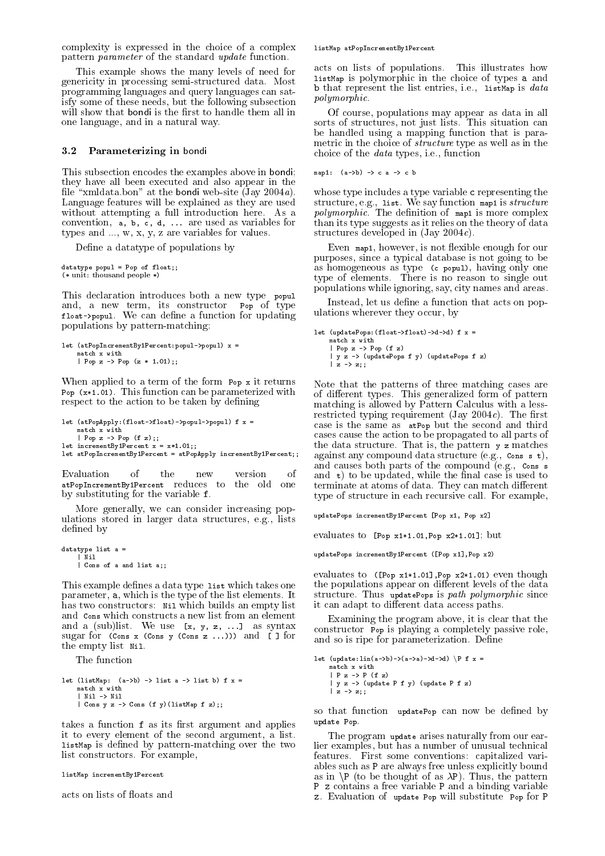complexity is expressed in the choice of a complex pattern *parameter* of the standard *update* function.

This example shows the many levels of need for genericity in processing semistructured data- Most programming languages and query languages can sat isfy some of these needs, but the following subsection will show that bondi is the first to handle them all in one language, and in a natural way.

#### - Parameterizing in bondi

This subsection encodes the examples above in bondi they have all been executed and also appear in the le xmldata-bon at the bondi website Jay a-Language features will be explained as they are used with a full internal introduction here-theconvention,  $a, b, c, d, \ldots$  are used as variables for types and --- w x y z are variables for values-

Define a datatype of populations by

```
(* unit: thousand people *)
```
This declaration introduces both a new type population introduces both a new type population introduces both a and a new term its construction population  $\mathcal{P}$ float
popul- We can dene a function for updating populations by pattern-matching:

```
let (atPopIncrementBy1Percent:popul->popul) x =match x with
    Pop z 	 Pop z  -
```
When applied to a term of the form Pop x it returns Pop x - This function can be parameterized with respect to the action to be taken by defining

```
let (atPopApply: (float->float)-\pmb{1}-\pmb{1}-\pmb{1}match x with
    | Pop z \rightarrow Pop (f z);\mathcal{L} incrementation \mathcal{L} is a set of \mathcal{L}let atPopIncrementBy1Percent = atPopApply incrementBy1Percent;;
```
 $\circ$ f Evaluation of the new version Evaluation of the new version of atPopIncrementBy1Percent reduces to the old one by substituting for the variable f.

More generally, we can consider increasing populations stored in larger data structures e-mail and the structures e-mail and the structures e-mail and the s defined by

```
datatype list a 
   Nil
  \blacksquare
```
This example defines a data type list which takes one parameter,  $a$ , which is the type of the list elements. It has two constructors: Nil which builds an empty list and Cons which constructs a new list from an element and a sublist-syntaxies are syntaxies and a substitute of the syntaxies of the syntaxies are syntaxies and a s sugar for  $(\text{Cons } x (\text{Cons } y (\text{Cons } z \dots)))$  and  $[]$  for the empty list Nil-

The function

```
let (listMap: (a-\lambda b) \rightarrow list a \lambda list b) f x =
     match x with
     | Nil \rightarrow Nil
     \vert Cons y z \vert Cons (f y)(listMap f z);;
```
takes a function f as its first argument and applies it to every element of the second argument, a list.  $listMap$  is defined by pattern-matching over the two list constructors- For example

listMap incrementBy1Percent

acts on lists of floats and

#### listMap atPopIncrementBy1Percent

acts on lists on lists of populations-between  $\mathbf{F}$ listMap is polymorphic in the choice of types <sup>a</sup> and b that represent the list entries i-e- listMap is data polymorphic-

Of course, populations may appear as data in all sorts of structures not just lists- and situation can be a be handled using a mapping function that is para metric in the choice of *structure* type as well as in the choice of the data types i-data types i-data types i-data types i-data types i-data types i-data types i-data t

map1:  $(a - b) \rightarrow c a \rightarrow c b$ 

whose type includes a type variable c representing the control  $\alpha$ structure e-map is structure e-manufacture map a structure of the structure of the structure of the structure o polymorphics polymorphic of map is more complex of manager is seen process. than its type suggests as it relies on the theory of data structures developed in  $(\text{Jay }2004c)$ .

Even map1, however, is not flexible enough for our purposes, since a typical database is not going to be as homogeneous as type  $(c$  popul), having only one type of elements-definition of elements-definition  $\mathcal{L}$ populations while ignoring, say, city names and areas.

Instead, let us define a function that acts on populations wherever they occur, by

```
\frac{1}{\pi} and \frac{1}{\pi} and \frac{1}{\pi} and \frac{1}{\pi} and \frac{1}{\pi} and \frac{1}{\pi} and \frac{1}{\pi} and \frac{1}{\pi} and \frac{1}{\pi} and \frac{1}{\pi} and \frac{1}{\pi} and \frac{1}{\pi} and \frac{1}{\pi} and \frac{1}{\pi} and \frac{1}{\pi} 
          | Pop z \rightarrow Pop (f \ z)| y z -> (updatePops f y) (updatePops f z)<br>| z -> z::
           z = z z = z z = z
```
Note that the patterns of three matching cases are of dierent types- This generalized form of pattern matching is allowed by Pattern Calculus with a less restricted typing requirement jay cycles and measure case is the same as atPop but the second and third cases cause the action to be propagated to all parts of the data structure-data structure-data structure-data structure-data structure-data structure-data structureagainst any compound data structure e- (a) are the structure eand causes both parts of the compound e-compound e-compound e-compound e-compound e-compound e-compound e-compo and  $t$ ) to be updated, while the final case is used to terminate at atoms of data- They can match dierent type of structure in each recursive call- For example

update Pop x Pop x Pop x Pop x Pop x Pop x Pop x Pop x Pop x Pop x Pop x Pop x Pop x Pop x Pop x Pop x Pop x P

evaluates to [Pop  $x1*1.01$ , Pop  $x2*1.01$ ]; but

updatePops incrementByPercent Pop xPop x

 It structure- Thus updatePops is path polymorphic since evaluates to ([Pop x1\*1.01], Pop x2\*1.01) even though the populations appear on different levels of the data it can adapt to different data access paths.

Examining the program above, it is clear that the constructor Pop is playing a completely passive role and so is ripe for parameterization- Dene

```
let (update:\text{lin}(a-\lambda b) - \lambda(a-\lambda a) - \lambda d - \lambda b) \P f x = match x with
                    \vert y z -> (update P f y) (update P f z)
                  |z| \rightarrow |z|:
                    \overline{\phantom{a}} \overline{\phantom{a}} \overline{\phantom{a}} \overline{\phantom{a}} \overline{\phantom{a}} \overline{\phantom{a}} \overline{\phantom{a}} \overline{\phantom{a}} \overline{\phantom{a}} \overline{\phantom{a}} \overline{\phantom{a}} \overline{\phantom{a}} \overline{\phantom{a}} \overline{\phantom{a}} \overline{\phantom{a}} \overline{\phantom{a}} \overline{\phantom{a}} \overline{\phantom{a}} \overline{\
```
so that function updatePop can now be defined by update Pop-

The program update arises naturally from our earlier examples, but has a number of unusual technical features- First some conventions capitalized vari ables such as <sup>P</sup> are always free unless explicitly bound as in <sup>n</sup><sup>P</sup> to be thought of as P- Thus the pattern P <sup>z</sup> contains a free variable <sup>P</sup> and a binding variable z- Evaluation of update Pop will substitute Pop for <sup>P</sup>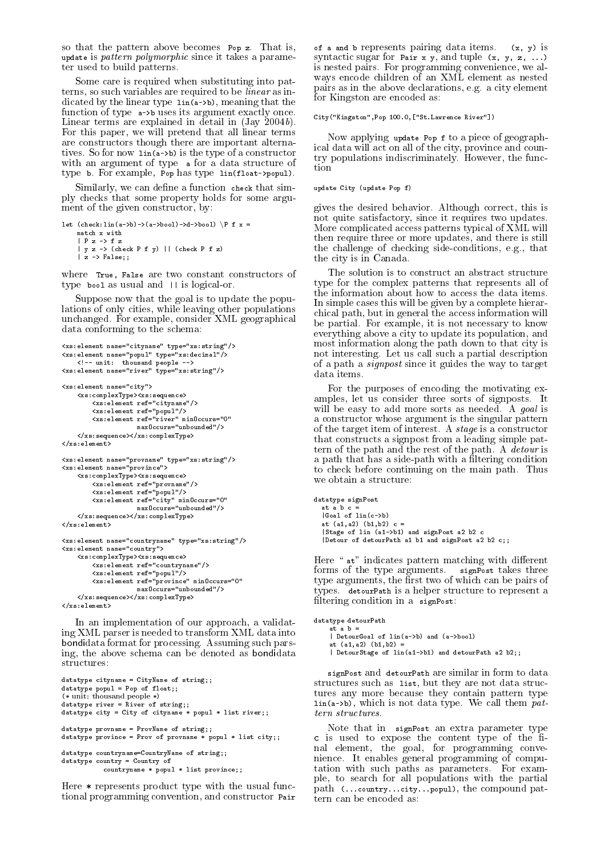so that the pattern above becomes Pop z- state and update is *pattern polymorphic* since it takes a parameter used to build patterns-

Some care is required when substituting into pat terns, so such variables are required to be *linear* as indicated by the linear type  $\text{lin}(a\rightarrow b)$ , meaning that the function of type  $a\rightarrow b$  uses its argument exactly once. Linear terms are explained in detail in  $(Jay 2004b)$ . For this paper, we will pretend that all linear terms are constructors though there are important alterna tives-section in the type of a construction of a construction of a construction of a construction of a constructor with an argument of type a for a data structure of type b-For example Pop has type linfloat
popul-

Similarly, we can define a function check that simply checks that some property holds for some argu ment of the given constructor, by:

```
let (check:lin(a-\lambda b) - \lambda(a-\lambda boo1) - \lambda d - \lambda boo1) \P f x =
     match x with
      | y z \rightarrow (check P f y) | (check P f z)
     |z| > False;;
```
where True, False are two constant constructors of type bool as usual and - is logical and -

Suppose now that the goal is to update the popu lations of only cities, while leaving other populations unchanged-consider XML geographical Constant Consider XML geographical constants of the constant of the constant data conforming to the schema

```
<xs:element name="cityname" type="xs:string"/>
\langle x \rangle : element name="popul" type="xs:decimal"/>
        where the contribution of the contribution of the contribution of the contribution of the contribution of the contribution of the contribution of the contribution of the contribution of the contribution of the contributio
 <u>xstelement nameriser typer meters om i v</u>
<xs:element name="city">
 xselement namecity	
       <xs:complexType><xs:sequence><br><xs:element ref="cityname"/>
                xselement refcityname	
                xx:element ref="river" minOccurs="0"
                                     maxOccurs="unbounded"\langle x, x \rangle : sequence>\langle x, x \rangle : complexType>
\langle/ysielement>
 xselement	
\langle xs : \text{element name="provname" type="xs : \text{string} " \rangle \rangle\langle x s :element name="province">
       <xs:complexType><xs:sequence>
                element and provided to the contract of the contract of the contract of the contract of the contract of the contract of the contract of the contract of the contract of the contract of the contract of the contract of the co
                <xs:element ref="city" minOccurs="0"
                                     maxOccurs="unbounded"/>
       \langle x s : \text{sequence}\rangle \langle x s : \text{complete}\rangle\langle xs : element \rangle\langle xs : \texttt{element name} = "countername" \texttt{type} = "xs : \texttt{string"}/\ranglexs:element name="country">
        \mathbf{x} and \mathbf{x} and \mathbf{x} and \mathbf{x} and \mathbf{x} and \mathbf{x} and \mathbf{x} and \mathbf{x} and \mathbf{x} and \mathbf{x} and \mathbf{x} and \mathbf{x} and \mathbf{x} and \mathbf{x} and \mathbf{x} and \mathbf{x} and \mathbf{x} and \mathbf{x} and \mathbf{xelement reference and \simxx:element ref="province" minOccurs="0"
                                     maxOccurs="unbounded"/>
       \langle x, x \rangle : sequence \rangle xs : complexType
\langle x s : \text{element} \rangle
```
In an implementation of our approach, a validating XML parser is needed to transform XML data into  $\alpha$  is a format format format format format  $\alpha$  ,  $\alpha$  is a format part of  $\alpha$ ing, the above schema can be denoted as bondidata structures:

```
datatype cityname = CityName of string;;
\frac{1}{\sqrt{2}} datatype popul = Pop of float;;
(* unit: thousand people *)datatype river = River of string;;
datatype city = City of cityname * popul * list river;;
datatype provname = ProvName of string;;
datatype province = Prov of provname * popul * list city;;
datatype countryname=CountryName of string;;
datatype country  Country of
           countername * popul * list province;
```
Here  $*$  represents product type with the usual functional programming convention and constructor Pair

of a and b represents pairing data items-  $\{x_j\}$  is an syntactic sugar for Pair x y, and tuple  $(x, y, z, ...)$ is nested pairs- For programming convenience we al ways encode children of an XML element as nested pairs as in the above declarations e-g- a city element for Kingston are encoded as

City("Kingston",Pop 100.0,["St.Lawrence River"])

Now applying update Pop f to a piece of geograph ical data will all of the city and countries province and countries are  $\alpha$ try populations indiscriminately- However the func tion

#### update City (update Pop f)

gives the desired behavior- Although correct this is not quite satisfactory, since it requires two updates. More complicated access patterns typical of XML will then require three or more updates, and there is still the challenge of checking sideconditions e-g- that the city is in Canada-

The solution is to construct an abstract structure type for the complex patterns that represents all of the information about how to access the data items-In simple cases this will be given by a complete hierar chical path, but in general the access information will be partial- For example it is not necessary to know everything above a city to update its population, and most information along the path down to that city is not interesting- a from the such a parties of the parties of  $\sim$ of a path a signpost since it guides the way to target data items.

For the purposes of encoding the motivating ex amples, let us consider three sorts of signposts. will be easy to add more sorts as needed-definition of the sorts as needed-definition of  $\mathbf{f}$ a constructor whose argument is the singular pattern of the target item of target item of interestthat constructs a signpost from a leading simple pat the contract path- and the rest of the path- is the rest of the patha path that has a side-path with a filtering condition to check before continuing on the main paths. Thus, a we obtain a structure

datatype signPost  $|$  Goal of  $lin(c-\gt[b])$ at  $(a1, a2)$   $(b1, b2)$   $c =$  $|$  Stage of lin  $(a1 - b1)$  and signPost a 2 b 2 c  $|\texttt{Detour}$  of detourPath al b1 and signPost a2 b2 c;;

Here "at" indicates pattern matching with different forms of the type arguments- signPost takes three type arguments, the first two of which can be pairs of types. Attraction is a helper structure to represent a help filtering condition in a signPost:

```
datatype detourPath
   at a b =| DetourGoal of lin(a-\lambda b) and (a-\lambda b)at (a1, a2) (b1, b2)| DetourStage of lin(a1-)b1 and detourPath a 2 b2;;
```
signPost and detourPath are similar in form to data structures such as list, but they are not data structures any more because they contain pattern type b which is not defined them been pattern as a contribution of the call the pattern of the call the pattern of the call the contribution of the contribution of the contribution of the contribution of the contribution of the tern structures.

Note that in signPost an extra parameter type c is decay to expose the content type of the H nal element, the goal, for programming convenience-en-ble-en-ble-en-ble-en-ble-en-ble-en-ble-en-ble-en-ble-en-ble-en-ble-en-ble-en-ble-en-ble-en-ble-en-bl tation with such paths as parameters- For exam ple, to search for all populations with the partial path  $(\ldots$  country... city... popul), the compound pattern can be encoded as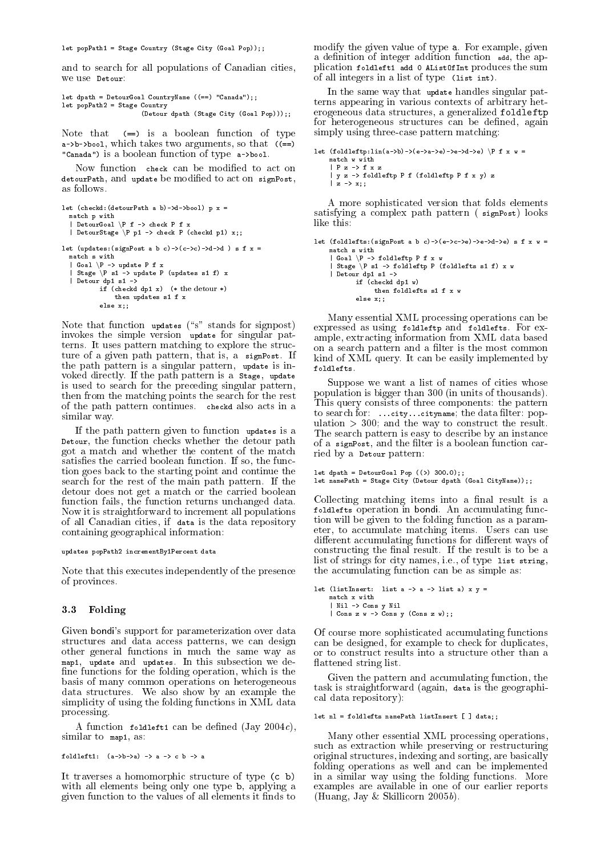let popPath1 = Stage Country (Stage City (Goal Pop));;

and to search for all populations of Canadian cities We lise Detour

let dpath = DetourGoal CountryName  $((==)$  "Canada");;  $let$  popPath2 = Stage Country (Detour dpath (Stage City (Goal Pop)));;

 $(==)$  is a boolean function of type Note that  $a \rightarrow b \rightarrow b \cdot 1$ , which takes two arguments, so that  $((-=))$ "Canada") is a boolean function of type a->bool.

Now function check can be modified to act on  $\alpha$  detourPath, and update be modified to act on signPost, as follows-

```
match p with<br>| DetourGoal \P f -> check P f x<br>| DetourStage \P p1 -> check P (checkd p1) x;;
let (updates: (signPost a b c) -> (c->c) ->d->d) s f x =
   = Goal \P -> update P f x<br>| Goal \P -> update P f x<br>| Stage \P s1 -> update P (updates s1 f) x
   if (check dpt x) (* the detour *)then updates s1 f x
             else x
```
Note that function updates ("s" stands for signpost) invokes the simple version update for singular pat terns-terns-terms-terms-terms-terms-terms-terms-terms-terms-terms-terms-terms-terms-terms-terms-terms-terms-te ture of a given path path path path path path path  $\mathbb{R}^n$ the path pattern is a singular pattern, update is invoked directly. If the path pattern is a stage, update If the path pattern is a Stage update is used to search for the preceding singular patterns  $\sim$ then from the matching points the search for the rest of the path pattern continues- checkd also acts in a similar way.

If the path pattern given to function updates is a Detour, the function checks whether the detour path got a match and whether the content of the match satises the carried book the function-theoretical function-theoretical functiontion goes back to the starting point and continue the search for the rest of the mainless paths path the main path  $\sim$ detour does not get a match or the carried boolean function fails, the function returns unchanged data. Now it is straightforward to increment all populations of all Canadian cities, if data is the data repository containing geographical information

#### updates popPath2 incrementBy1Percent data

Note that this executes independently of the presence of provinces.

### - Folding the state of the state of the state of the state of the state of the state of the state of the state of the state of the state of the state of the state of the state of the state of the state of the state of the

Given bondi's support for parameterization over data structures and data access patterns, we can design other general functions in much the same way as map update and updates- In this subsection we de fine functions for the folding operation, which is the basis of many common operations on heterogeneous data structures- We also show by an example the show by an example the show by an example the show by an example the show by an example the show by an example the show by an example the show by an example the show by an ex simplicity of using the folding functions in XML data processing-

A function foldlefti can be defined  $(\text{Jay }2004c)$ , similar to map1, as:

```
foldleft1: (a-\lambda b-\lambda a) \rightarrow a \rightarrow c b \rightarrow a
```
It traverses a homomorphic structure of type  $(c, b)$ with all elements being only one type b, applying a given function to the values of all elements it finds to

 $\mathbf{m}$  and  $\mathbf{m}$  are given value of type affects example given  $\mathbf{m}$ a definition of integer addition function add, the application foldlefti add 0 AListOfInt produces the sum of all integers in a list of type (list int).

In the same way that update handles singular pat terns appearing in various contexts of arbitrary het erogeneous data structures, a generalized foldleftp for heterogeneous structures can be defined, again simply using three-case pattern matching.

```
let (foldleftp:lin(a->b)->(e->a->e)->e->d->e) \P f x w = match w with
      | P z \rightarrow f x z
      \mathcal{L} , and fold in formulation \mathcal{L} for \mathcal{L} for \mathcal{L} is a set \mathcal{L}|z \rightarrow x;
```
A more sophisticated version that folds elements satisfying a complex path pattern (signPost) looks like this:

let (foldlefts: (signPost a b c)->(e->c->e)->e->d->e) s f x w =

```
match s with
| Goal \P -> foldleftp P f x w
| Stage \P s1 -> foldleftp P (foldlefts s1 f) x w
\vert Detour dp1 s1 \vertif (checkd dp1 w)
           then foldlefts s1 f x w
      else x
```
Many essential XML processing operations can be expressed as using foldleft particle for expression and folder as using folder as using for expression and fold ample, extracting information from XML data based on a search pattern and a filter is the most common kind of XML query-be easily implemented by the easily implemented by the easily implemented by the easily implemented by the easily implemented by the easily implemented by the easily implemented by the easily implemented foldlefts-

Suppose we want a list of names of cities whose population is bigger than 300 (in units of thousands). This query consists of three components the pattern to search for:  $\dots$  city... cityname; the data filter: population - and the way to construct the result-The search pattern is easy to describe by an instance of a signPost, and the filter is a boolean function carried by a Detour pattern

```
let dpath  DetourGoal Pop 	 -

let namePath  Stage City Detour dpath Goal CityName
```
 Collecting matching items into a nal result is a foldlefts operation in bondi- An accumulating func tion will be given to the folding function as a param eter to accumulate matching items- Users can use different accumulating functions for different ways of  $\mathbf{I}$  the result is to be a result is to be a result is to be a result is to be a result is to be a result is to be a result is to be a result is to be a result is to be a result is to be a result is to be a result is list of strings for city names i-e- of type list string the accumulating function can be as simple as

```
let (listInsert: list a \rightarrow a \rightarrow list a) x y =
     \vert Cons z w \vert > Cons y (Cons z w);;
```
Of course more sophisticated accumulating functions can be designed, for example to check for duplicates, or to construct results into a structure other than a flattened string list.

Given the pattern and accumulating function, the task is straightforward (again, data is the geographical data repository

```
als also constants admitstants and the constants of the constants of the constants of the constants of the consta
```
in a similar way using the following functions  $\mathbf{M}$  functions-Many other essential XML processing operations such as extraction while preserving or restructuring original structures, indexing and sorting, are basically folding operations as well and can be implemented examples are available in one of our earlier reports (Huang, Jay & Skillicorn  $2005b$ ).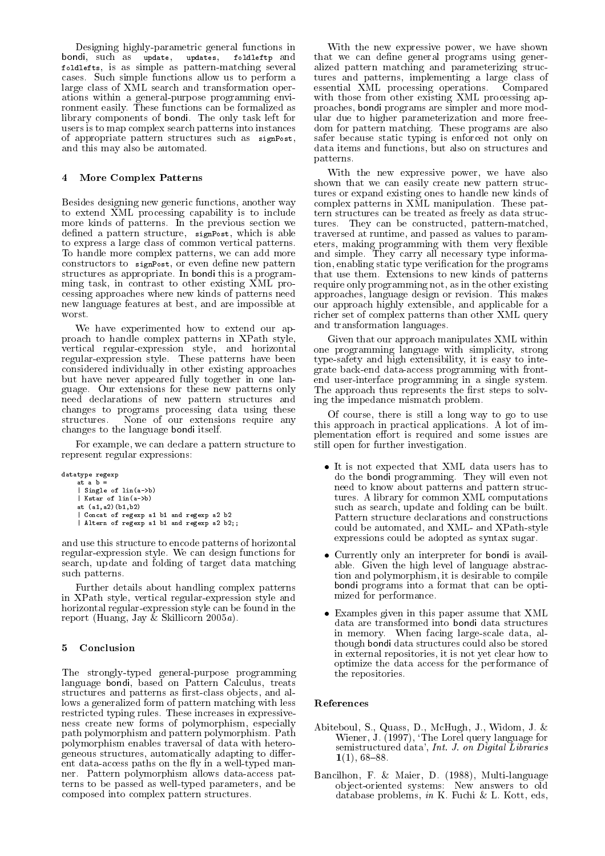Designing highly-parametric general functions in bondi, such as update, updates, foldleftp and foldlefts, is as simple as pattern-matching several cases- such simple functions allow us to perform all the simple large class of XML search and transformation oper ations within a general-purpose programming environment easily-be functions can be functions can be functions can be functions can be functions can be functions of  $\Gamma$ library components of bondi- The only task left for users is to map complex search patterns into instances of appropriate pattern structures such as signPost and this may also be automated.

# More Complex Patterns

Besides designing new generic functions, another way to extend XML processing capability is to include more kinds of patterns- In the previous section we defined a pattern structure, signPost, which is able to express a large class of common vertical patterns-To handle more complex patterns, we can add more constructors to signPost, or even define new pattern structures as a propriate-term in this is a propriate-term in the propriate-term in this is a propriate-term of ming task, in contrast to other existing XML processing approaches where new kinds of patterns need new language features at best, and are impossible at worst.

We have experimented how to extend our ap proach to handle complex patterns in XPath style vertical regularexpression style and horizontal regularexpression style- These patterns have been considered individually in other existing approaches but have never appeared fully together in one language- Our extensions for these new patterns only need declarations of new pattern structures and changes to programs processing data using these structures- in the other contractions requires the place  $\mathcal{L}_{\mathbf{A}}$ changes to the language bondi itself-

For example, we can declare a pattern structure to represent regular expressions

```
datatype regexp
        at a b =| Single of lin(a \rightarrow b)| Kstar of lin(a->b)at (a1, a2) (b1, b2)<br>| Concat of regexp a1 b1 and regexp a2 b2
         \sim concater of regime and reger as a b and reger as b and regular \sim\mathbb{A} and reger and regering a b and regering a b and regering a b and regering a b and regering a b and regering a b and regering a b and regering a b and regering a b and regering a b and regering a b and regering a
```
and use this structure to encode patterns of horizontal regulares the present of the state of the state functions for the state of the state of the state of the state o search, update and folding of target data matching such patterns.

Further details about handling complex patterns in XPath style, vertical regular-expression style and horizontal regular-expression style can be found in the report (Huang, Jay & Skillicorn  $2005a$ ).

# Conclusion

The strongly-typed general-purpose programming language bondi, based on Pattern Calculus, treats structures and patterns as first-class objects, and allows a generalized form of pattern matching with less restricted typing rules- restricted in expressive in expressive to the set of the set of the set of the set of ness create new forms of polymorphism, especially path polymorphism pathware and path the path path pathware pathware  $\sim$  2000 m polymorphism enables traversal of data with hetero geneous structures, automatically adapting to different data-access paths on the fly in a well-typed manner- Pattern polymorphism allows dataaccess pat terns to be passed as well-typed parameters, and be composed into complex pattern structures-

With the new expressive power, we have shown that we can denote general programs using  $\alpha$  and  $\alpha$ alized pattern matching and parameterizing structure tures and patterns, implementing a large class of essential XML processing operations- Compared with those from other existing XML processing ap proaches bondi programs are simpler and more mod ular due to higher parameterization and more free  $\alpha$  are pattern matching-  $\alpha$  are also programs are also as safer because static typing is enforced not only on data items and functions, but also on structures and patterns-

 eters making programming with them very exible With the new expressive power, we have also shown that we can easily create new pattern struc tures or expand existing ones to handle new kinds of complex patterns in XML manipulation-between patterns in XML manipulation-between patterns in the second patterns in  $\mathbb{R}^n$ tern structures can be treated as freely as data struc tures-constructed patternment patternment patternment patternment patternment patternment patternment patternm traversed at runtime, and passed as values to paramand simple-type information and simple-type information and simple-type information and the simple-type information of the simple-type information of the simple-type information of the simple-type information of the simple tion, enabling static type verification for the programs that use them- Extensions to new kinds of patterns require only programming not, as in the other existing approaches language design or revision- This makes our approach highly extensible, and applicable for a richer set of complex patterns than other XML query and transformation languages.

Given that our approach manipulates XML within one programming language with simplicity, strong type-safety and high extensibility, it is easy to integrate back-end data-access programming with frontend user-interface programming in a single system. The approach thus represents the first steps to solving the impedance mismatch problem-

Of course, there is still a long way to go to use this approach in practical applications- A lot of im plementation effort is required and some issues are still open for further investigation.

- It is not expected that XML data users has to do the bondi programming-they will even not be a structure of the bondi programming-they will even not be a st need to know about patterns and pattern struc tures- A library for common XML common XML common XML common XML common XML common XML common XML common XML c such as search, update and folding can be built. Pattern structure declarations and constructions could be automated, and XML- and XPath-style expressions could be adopted as syntax sugar-
- Currently only an interpreter for bondi is available-the contract the distribution of the high level of language abstract the contract of the strategy of the s tion and polymorphism, it is desirable to compile bondi programs into a format that can be opti mized for performance.
- Examples given in this paper assume that XML data are transformed into bondi data structures in memory- When facing largescale data al though bondi data structures could also be stored in external repositories, it is not yet clear how to optimize the data access for the performance of the repositories.

# References

- Abiteboul S- Quass D- McHugh J- Widom J-  $\mathcal{L}$  , and  $\mathcal{L}$  are larger for the Lorel  $\mathcal{L}$  is the  $\mathcal{L}$  and  $\mathcal{L}$  are larger for  $\mathcal{L}$ semistructured data', Int. J. on Digital Libraries -
- Bancillon F-Multilanguage (F-F-F), film film and film of the same of the same of the same of the same of the s object-oriented systems: New answers to old database problems in Le database in Le Leoniq and J